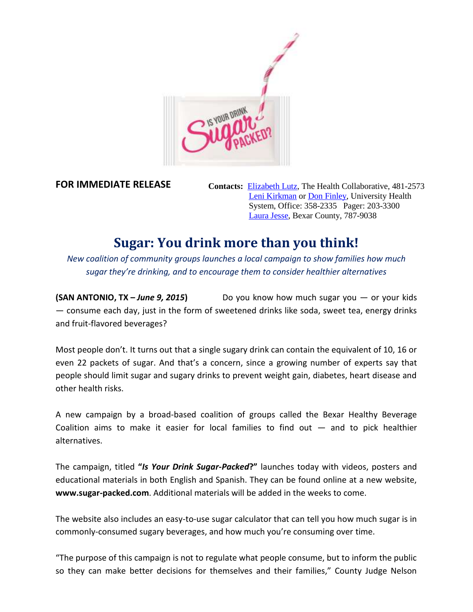

**FOR IMMEDIATE RELEASE**

**Contacts:** [Elizabeth Lutz,](mailto:elizabeth.lutz@healthcollaborative.net) The Health Collaborative, 481-2573 [Leni Kirkman](mailto:leni.kirkman@uhs-sa.com) or [Don Finley,](mailto:donald.finley@uhs-sa.com) University Health System, Office: 358-2335 Pager: 203-3300 [Laura Jesse,](mailto:ljesse@bexar.org) Bexar County, 787-9038

## **Sugar: You drink more than you think!**

*New coalition of community groups launches a local campaign to show families how much sugar they're drinking, and to encourage them to consider healthier alternatives*

**(SAN ANTONIO, TX –** *June 9, 2015***)** Do you know how much sugar you — or your kids — consume each day, just in the form of sweetened drinks like soda, sweet tea, energy drinks and fruit-flavored beverages?

Most people don't. It turns out that a single sugary drink can contain the equivalent of 10, 16 or even 22 packets of sugar. And that's a concern, since a growing number of experts say that people should limit sugar and sugary drinks to prevent weight gain, diabetes, heart disease and other health risks.

A new campaign by a broad-based coalition of groups called the Bexar Healthy Beverage Coalition aims to make it easier for local families to find out  $-$  and to pick healthier alternatives.

The campaign, titled **"***Is Your Drink Sugar-Packed***?"** launches today with videos, posters and educational materials in both English and Spanish. They can be found online at a new website, **www.sugar-packed.com**. Additional materials will be added in the weeks to come.

The website also includes an easy-to-use sugar calculator that can tell you how much sugar is in commonly-consumed sugary beverages, and how much you're consuming over time.

"The purpose of this campaign is not to regulate what people consume, but to inform the public so they can make better decisions for themselves and their families," County Judge Nelson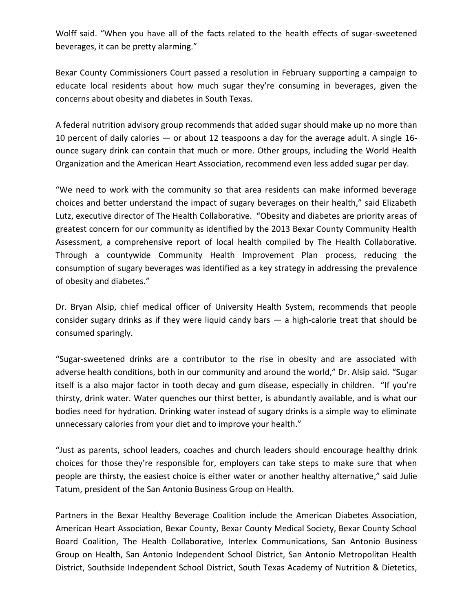Wolff said. "When you have all of the facts related to the health effects of sugar-sweetened beverages, it can be pretty alarming."

Bexar County Commissioners Court passed a resolution in February supporting a campaign to educate local residents about how much sugar they're consuming in beverages, given the concerns about obesity and diabetes in South Texas.

A federal nutrition advisory group recommends that added sugar should make up no more than 10 percent of daily calories — or about 12 teaspoons a day for the average adult. A single 16 ounce sugary drink can contain that much or more. Other groups, including the World Health Organization and the American Heart Association, recommend even less added sugar per day.

"We need to work with the community so that area residents can make informed beverage choices and better understand the impact of sugary beverages on their health," said Elizabeth Lutz, executive director of The Health Collaborative. "Obesity and diabetes are priority areas of greatest concern for our community as identified by the 2013 Bexar County Community Health Assessment, a comprehensive report of local health compiled by The Health Collaborative. Through a countywide Community Health Improvement Plan process, reducing the consumption of sugary beverages was identified as a key strategy in addressing the prevalence of obesity and diabetes."

Dr. Bryan Alsip, chief medical officer of University Health System, recommends that people consider sugary drinks as if they were liquid candy bars  $-$  a high-calorie treat that should be consumed sparingly.

"Sugar-sweetened drinks are a contributor to the rise in obesity and are associated with adverse health conditions, both in our community and around the world," Dr. Alsip said. "Sugar itself is a also major factor in tooth decay and gum disease, especially in children. "If you're thirsty, drink water. Water quenches our thirst better, is abundantly available, and is what our bodies need for hydration. Drinking water instead of sugary drinks is a simple way to eliminate unnecessary calories from your diet and to improve your health."

"Just as parents, school leaders, coaches and church leaders should encourage healthy drink choices for those they're responsible for, employers can take steps to make sure that when people are thirsty, the easiest choice is either water or another healthy alternative," said Julie Tatum, president of the San Antonio Business Group on Health.

Partners in the Bexar Healthy Beverage Coalition include the American Diabetes Association, American Heart Association, Bexar County, Bexar County Medical Society, Bexar County School Board Coalition, The Health Collaborative, Interlex Communications, San Antonio Business Group on Health, San Antonio Independent School District, San Antonio Metropolitan Health District, Southside Independent School District, South Texas Academy of Nutrition & Dietetics,